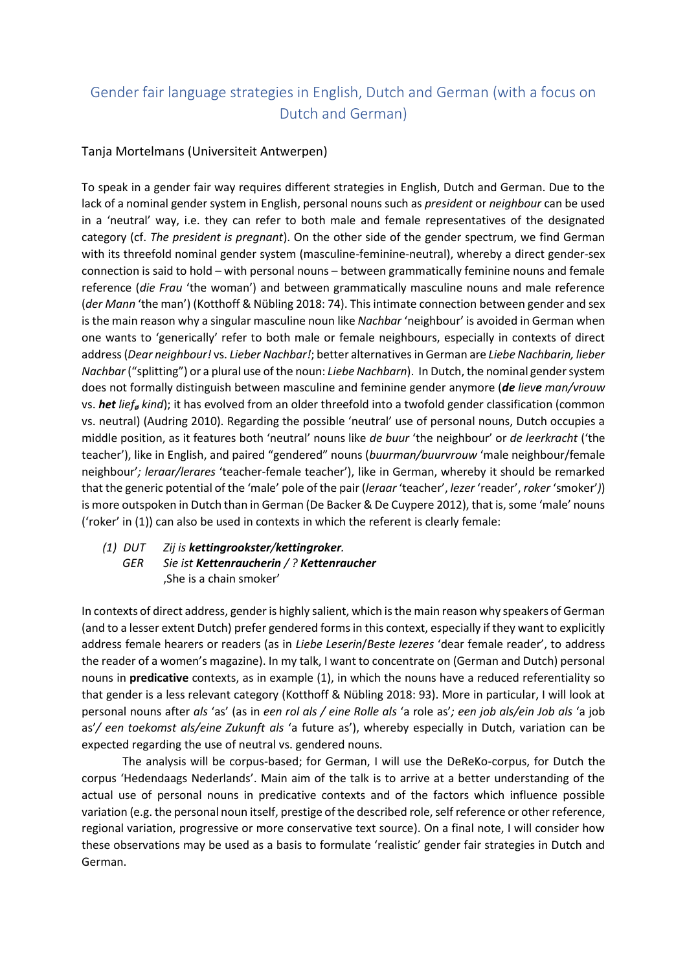## Gender fair language strategies in English, Dutch and German (with a focus on Dutch and German)

## Tanja Mortelmans (Universiteit Antwerpen)

To speak in a gender fair way requires different strategies in English, Dutch and German. Due to the lack of a nominal gender system in English, personal nouns such as *president* or *neighbour* can be used in a 'neutral' way, i.e. they can refer to both male and female representatives of the designated category (cf. *The president is pregnant*). On the other side of the gender spectrum, we find German with its threefold nominal gender system (masculine-feminine-neutral), whereby a direct gender-sex connection is said to hold – with personal nouns – between grammatically feminine nouns and female reference (*die Frau* 'the woman') and between grammatically masculine nouns and male reference (*der Mann* 'the man') (Kotthoff & Nübling 2018: 74). This intimate connection between gender and sex is the main reason why a singular masculine noun like *Nachbar* 'neighbour' is avoided in German when one wants to 'generically' refer to both male or female neighbours, especially in contexts of direct address (*Dear neighbour!* vs. *Lieber Nachbar!*; better alternatives in German are *Liebe Nachbarin, lieber Nachbar* ("splitting") or a plural use of the noun: *Liebe Nachbarn*). In Dutch, the nominal gender system does not formally distinguish between masculine and feminine gender anymore (*de lieve man/vrouw* vs. *het lief<sup>ø</sup> kind*); it has evolved from an older threefold into a twofold gender classification (common vs. neutral) (Audring 2010). Regarding the possible 'neutral' use of personal nouns, Dutch occupies a middle position, as it features both 'neutral' nouns like *de buur* 'the neighbour' or *de leerkracht* ('the teacher'), like in English, and paired "gendered" nouns (*buurman/buurvrouw* 'male neighbour/female neighbour'*; leraar/lerares* 'teacher-female teacher'), like in German, whereby it should be remarked that the generic potential of the 'male' pole of the pair (*leraar* 'teacher', *lezer* 'reader', *roker* 'smoker'*)*) is more outspoken in Dutch than in German (De Backer & De Cuypere 2012), that is, some 'male' nouns ('roker' in (1)) can also be used in contexts in which the referent is clearly female:

## *(1) DUT Zij is kettingrookster/kettingroker. GER Sie ist Kettenraucherin / ? Kettenraucher* 'She is a chain smoker'

In contexts of direct address, gender is highly salient, which is the main reason why speakers of German (and to a lesser extent Dutch) prefer gendered forms in this context, especially if they want to explicitly address female hearers or readers (as in *Liebe Leserin*/*Beste lezeres* 'dear female reader', to address the reader of a women's magazine). In my talk, I want to concentrate on (German and Dutch) personal nouns in **predicative** contexts, as in example (1), in which the nouns have a reduced referentiality so that gender is a less relevant category (Kotthoff & Nübling 2018: 93). More in particular, I will look at personal nouns after *als* 'as' (as in *een rol als / eine Rolle als* 'a role as'*; een job als/ein Job als* 'a job as'*/ een toekomst als/eine Zukunft als* 'a future as'), whereby especially in Dutch, variation can be expected regarding the use of neutral vs. gendered nouns.

The analysis will be corpus-based; for German, I will use the DeReKo-corpus, for Dutch the corpus 'Hedendaags Nederlands'. Main aim of the talk is to arrive at a better understanding of the actual use of personal nouns in predicative contexts and of the factors which influence possible variation (e.g. the personal noun itself, prestige of the described role, self reference or other reference, regional variation, progressive or more conservative text source). On a final note, I will consider how these observations may be used as a basis to formulate 'realistic' gender fair strategies in Dutch and German.